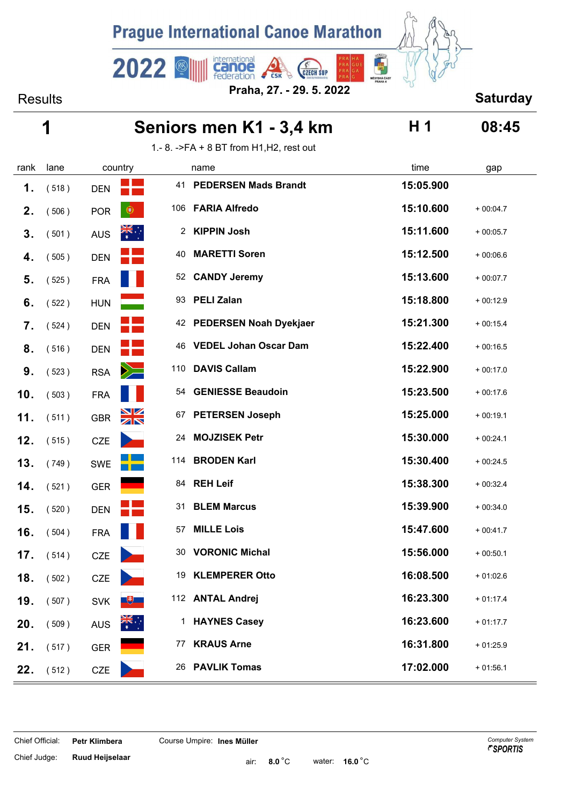

international<br>Canoe<br>federation Results **Saturday Praha, 27. - 29. 5. 2022**

**CSK** 

**CZECH SUP** 

| Seniors men K1 - 3,4 km | 08:45 |
|-------------------------|-------|
|                         |       |

 $\begin{array}{c} \hline \mathbf{1} \\ \hline \mathbf{2} \\ \hline \end{array}$ 

1.- 8. ->FA + 8 BT from H1,H2, rest out

 $2022$ 

| rank | lane  |            | country              |     | name                         | time      | gap        |
|------|-------|------------|----------------------|-----|------------------------------|-----------|------------|
| 1.   | (518) | <b>DEN</b> |                      | 41  | <b>PEDERSEN Mads Brandt</b>  | 15:05.900 |            |
| 2.   | (506) | <b>POR</b> | $\circledcirc$       | 106 | <b>FARIA Alfredo</b>         | 15:10.600 | $+00:04.7$ |
| 3.   | (501) | <b>AUS</b> | $\frac{1}{N}$        |     | 2 KIPPIN Josh                | 15:11.600 | $+00:05.7$ |
| 4.   | (505) | <b>DEN</b> |                      | 40  | <b>MARETTI Soren</b>         | 15:12.500 | $+00:06.6$ |
| 5.   | (525) | <b>FRA</b> |                      |     | 52 CANDY Jeremy              | 15:13.600 | $+00:07.7$ |
| 6.   | (522) | <b>HUN</b> |                      | 93  | <b>PELI Zalan</b>            | 15:18.800 | $+00:12.9$ |
| 7.   | (524) | <b>DEN</b> |                      |     | 42 PEDERSEN Noah Dyekjaer    | 15:21.300 | $+00:15.4$ |
| 8.   | (516) | <b>DEN</b> |                      | 46  | <b>VEDEL Johan Oscar Dam</b> | 15:22.400 | $+00:16.5$ |
| 9.   | (523) | <b>RSA</b> | $\geq$               | 110 | <b>DAVIS Callam</b>          | 15:22.900 | $+00:17.0$ |
| 10.  | (503) | <b>FRA</b> |                      | 54  | <b>GENIESSE Beaudoin</b>     | 15:23.500 | $+00:17.6$ |
| 11.  | (511) | <b>GBR</b> | $\frac{N}{N}$        | 67  | <b>PETERSEN Joseph</b>       | 15:25.000 | $+00:19.1$ |
| 12.  | (515) | <b>CZE</b> |                      | 24  | <b>MOJZISEK Petr</b>         | 15:30.000 | $+00:24.1$ |
| 13.  | (749) | <b>SWE</b> |                      |     | 114 BRODEN Karl              | 15:30.400 | $+00:24.5$ |
| 14.  | (521) | <b>GER</b> |                      | 84  | <b>REH Leif</b>              | 15:38.300 | $+00:32.4$ |
| 15.  | (520) | <b>DEN</b> |                      | 31  | <b>BLEM Marcus</b>           | 15:39.900 | $+00:34.0$ |
| 16.  | (504) | <b>FRA</b> |                      | 57  | <b>MILLE Lois</b>            | 15:47.600 | $+00:41.7$ |
| 17.  | (514) | <b>CZE</b> |                      | 30  | <b>VORONIC Michal</b>        | 15:56.000 | $+00:50.1$ |
| 18.  | (502) | <b>CZE</b> |                      | 19  | <b>KLEMPERER Otto</b>        | 16:08.500 | $+01:02.6$ |
| 19.  | (507) | <b>SVK</b> | $\overline{1}$       |     | 112 ANTAL Andrej             | 16:23.300 | $+01:17.4$ |
| 20.  | (509) | <b>AUS</b> | $\frac{1}{\sqrt{K}}$ |     | 1 HAYNES Casey               | 16:23.600 | $+01:17.7$ |
| 21.  | (517) | <b>GER</b> |                      |     | 77 KRAUS Arne                | 16:31.800 | $+01:25.9$ |
| 22.  | (512) | CZE        |                      |     | 26 PAVLIK Tomas              | 17:02.000 | $+01:56.1$ |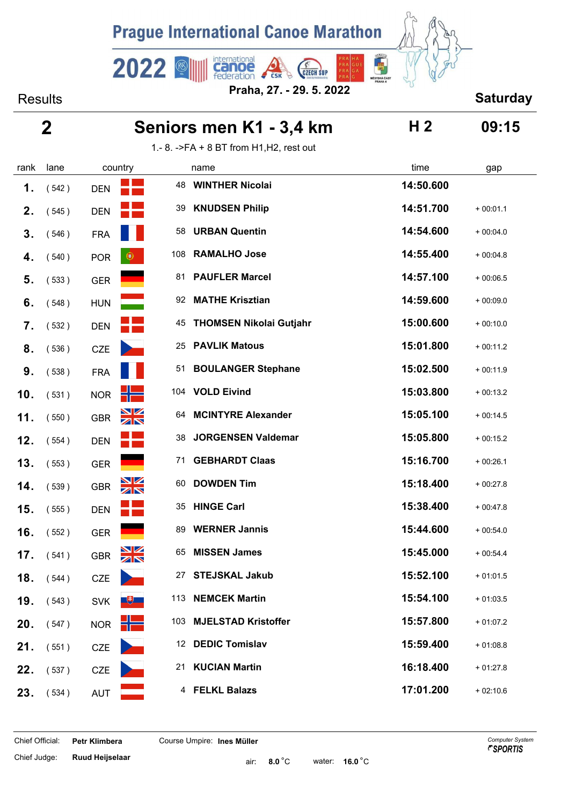

international<br>Canoe<br>federation **CZECH SUP** Results **Saturday Praha, 27. - 29. 5. 2022**

 $2022$ 

E

|                | 2     |            |               | Seniors men K1 - 3,4 km | H <sub>2</sub>                           | 09:15     |            |
|----------------|-------|------------|---------------|-------------------------|------------------------------------------|-----------|------------|
|                |       |            |               |                         | 1.- 8. ->FA + 8 BT from H1, H2, rest out |           |            |
| rank           | lane  |            | country       |                         | name                                     | time      | gap        |
| 1.             | (542) | <b>DEN</b> |               | 48                      | <b>WINTHER Nicolai</b>                   | 14:50.600 |            |
| 2 <sub>1</sub> | (545) | <b>DEN</b> |               | 39                      | <b>KNUDSEN Philip</b>                    | 14:51.700 | $+00:01.1$ |
| 3.             | (546) | <b>FRA</b> |               | 58                      | <b>URBAN Quentin</b>                     | 14:54.600 | $+00:04.0$ |
| 4.             | (540) | <b>POR</b> | $_{\circ}$    | 108                     | <b>RAMALHO Jose</b>                      | 14:55.400 | $+00:04.8$ |
| 5.             | (533) | <b>GER</b> |               | 81                      | <b>PAUFLER Marcel</b>                    | 14:57.100 | $+00:06.5$ |
| 6.             | (548) | <b>HUN</b> |               | 92                      | <b>MATHE Krisztian</b>                   | 14:59.600 | $+00:09.0$ |
| 7.             | (532) | <b>DEN</b> |               | 45                      | <b>THOMSEN Nikolai Gutjahr</b>           | 15:00.600 | $+00:10.0$ |
| 8.             | (536) | <b>CZE</b> |               | 25                      | <b>PAVLIK Matous</b>                     | 15:01.800 | $+00:11.2$ |
| 9.             | (538) | <b>FRA</b> |               | 51                      | <b>BOULANGER Stephane</b>                | 15:02.500 | $+00:11.9$ |
| 10.            | (531) | <b>NOR</b> | s –           |                         | 104 VOLD Eivind                          | 15:03.800 | $+00:13.2$ |
| 11.            | (550) | GBR        | $\frac{N}{N}$ | 64                      | <b>MCINTYRE Alexander</b>                | 15:05.100 | $+00:14.5$ |
| 12.            | (554) | <b>DEN</b> |               | 38                      | <b>JORGENSEN Valdemar</b>                | 15:05.800 | $+00:15.2$ |
| 13.            | (553) | <b>GER</b> |               | 71                      | <b>GEBHARDT Claas</b>                    | 15:16.700 | $+00:26.1$ |
| 14.            | (539) | GBR        | $\frac{N}{N}$ | 60                      | <b>DOWDEN Tim</b>                        | 15:18.400 | $+00:27.8$ |
| 15.            | (555) | <b>DEN</b> |               | 35                      | <b>HINGE Carl</b>                        | 15:38.400 | $+00:47.8$ |
| 16.            | (552) | <b>GER</b> |               | 89                      | <b>WERNER Jannis</b>                     | 15:44.600 | $+00:54.0$ |
| 17.            | (541) | <b>GBR</b> | $\frac{N}{N}$ | 65                      | <b>MISSEN James</b>                      | 15:45.000 | $+00:54.4$ |
| 18.            | (544) | <b>CZE</b> |               | 27                      | <b>STEJSKAL Jakub</b>                    | 15:52.100 | $+01:01.5$ |
| 19.            | (543) | <b>SVK</b> | $+$           |                         | 113 NEMCEK Martin                        | 15:54.100 | $+01:03.5$ |
| 20.            | (547) | <b>NOR</b> | ۲F            |                         | 103 MJELSTAD Kristoffer                  | 15:57.800 | $+01:07.2$ |
| 21.            | (551) | <b>CZE</b> |               |                         | 12 DEDIC Tomislav                        | 15:59.400 | $+01:08.8$ |
| 22.            | (537) | <b>CZE</b> |               | 21                      | <b>KUCIAN Martin</b>                     | 16:18.400 | $+01:27.8$ |
| 23.            | (534) | <b>AUT</b> |               |                         | 4 FELKL Balazs                           | 17:01.200 | $+02:10.6$ |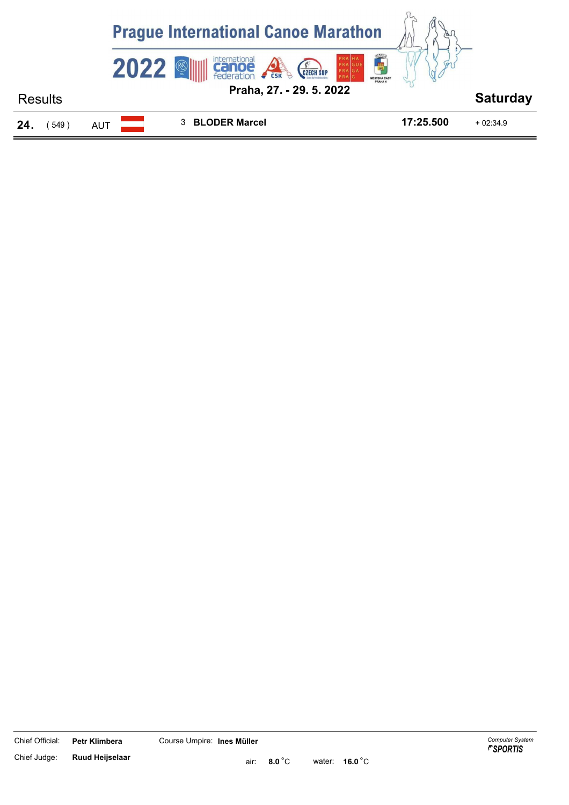

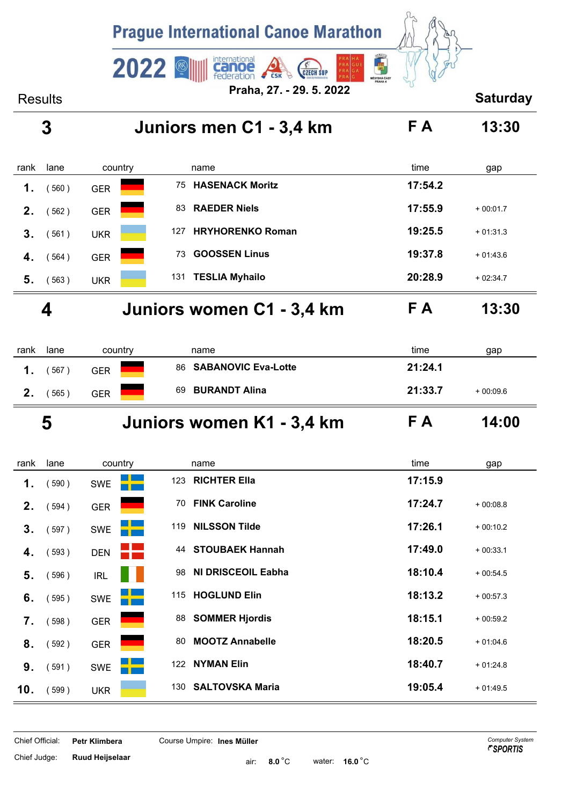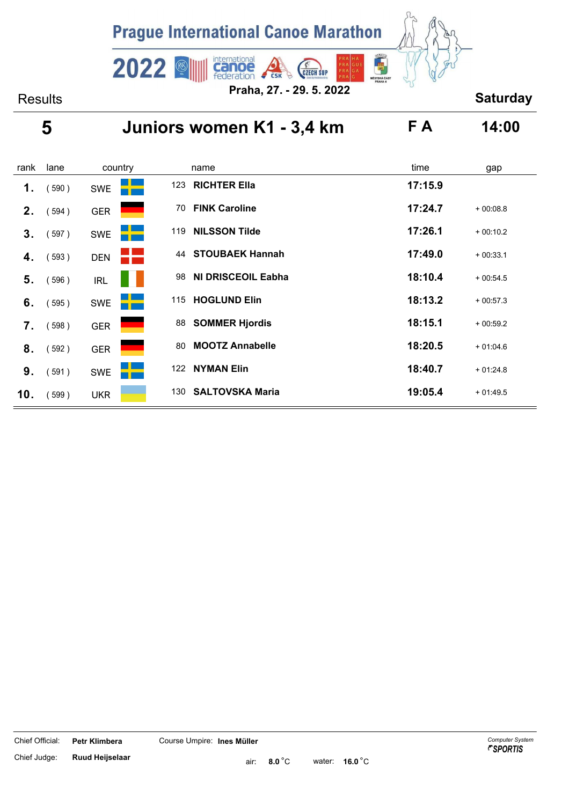

### **5 Juniors women K1 - 3,4 km F A 14:00**

| rank           | lane  | country    |     | name                      | time    | gap        |
|----------------|-------|------------|-----|---------------------------|---------|------------|
| 1.             | 590)  | <b>SWE</b> | 123 | <b>RICHTER Ella</b>       | 17:15.9 |            |
| 2 <sub>1</sub> | (594) | <b>GER</b> | 70  | <b>FINK Caroline</b>      | 17:24.7 | $+00:08.8$ |
| 3.             | (597) | <b>SWE</b> | 119 | <b>NILSSON Tilde</b>      | 17:26.1 | $+00:10.2$ |
| 4.             | (593) | <b>DEN</b> | 44  | <b>STOUBAEK Hannah</b>    | 17:49.0 | $+00:33.1$ |
| 5.             | 596)  | <b>IRL</b> | 98  | <b>NI DRISCEOIL Eabha</b> | 18:10.4 | $+00:54.5$ |
| 6.             | (595) | <b>SWE</b> | 115 | <b>HOGLUND Elin</b>       | 18:13.2 | $+00:57.3$ |
| 7.             | 598)  | <b>GER</b> | 88  | <b>SOMMER Hjordis</b>     | 18:15.1 | $+00:59.2$ |
| 8.             | (592) | <b>GER</b> | 80  | <b>MOOTZ Annabelle</b>    | 18:20.5 | $+01:04.6$ |
| 9.             | (591) | <b>SWE</b> | 122 | <b>NYMAN Elin</b>         | 18:40.7 | $+01:24.8$ |
| 10.            | (599) | <b>UKR</b> | 130 | <b>SALTOVSKA Maria</b>    | 19:05.4 | $+01:49.5$ |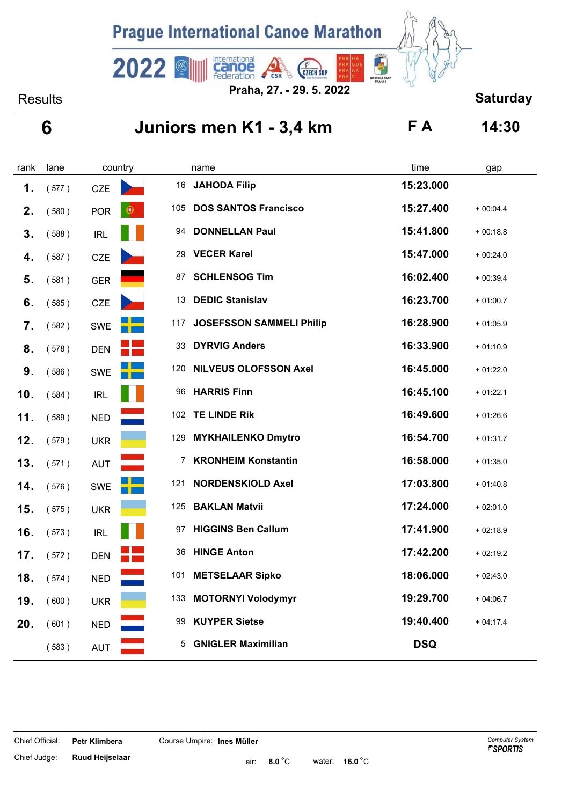

Results **Saturday Praha, 27. - 29. 5. 2022**

# **6 Juniors men K1 - 3,4 km F A 14:30**

| rank | lane  | country                      | name                                   | time       | gap        |
|------|-------|------------------------------|----------------------------------------|------------|------------|
| 1.   | (577) | <b>CZE</b>                   | 16<br><b>JAHODA Filip</b>              | 15:23.000  |            |
| 2.   | (580) | <b>POR</b><br>$\circledcirc$ | 105<br><b>DOS SANTOS Francisco</b>     | 15:27.400  | $+00:04.4$ |
| 3.   | (588) | <b>IRL</b>                   | <b>DONNELLAN Paul</b><br>94            | 15:41.800  | $+00:18.8$ |
| 4.   | (587) | <b>CZE</b>                   | <b>VECER Karel</b><br>29               | 15:47.000  | $+00:24.0$ |
| 5.   | (581) | <b>GER</b>                   | <b>SCHLENSOG Tim</b><br>87             | 16:02.400  | $+00:39.4$ |
| 6.   | (585) | <b>CZE</b>                   | <b>DEDIC Stanislav</b><br>13           | 16:23.700  | $+01:00.7$ |
| 7.   | (582) | <b>SWE</b>                   | <b>JOSEFSSON SAMMELI Philip</b><br>117 | 16:28.900  | $+01:05.9$ |
| 8.   | (578) | <b>DEN</b>                   | 33<br><b>DYRVIG Anders</b>             | 16:33.900  | $+01:10.9$ |
| 9.   | (586) | SWE                          | 120<br><b>NILVEUS OLOFSSON Axel</b>    | 16:45.000  | $+01:22.0$ |
| 10.  | (584) | IRL                          | <b>HARRIS Finn</b><br>96               | 16:45.100  | $+01:22.1$ |
| 11.  | (589) | <b>NED</b>                   | 102 TE LINDE Rik                       | 16:49.600  | $+01:26.6$ |
| 12.  | (579) | <b>UKR</b>                   | 129 MYKHAILENKO Dmytro                 | 16:54.700  | $+01:31.7$ |
| 13.  | (571) | <b>AUT</b>                   | 7 KRONHEIM Konstantin                  | 16:58.000  | $+01:35.0$ |
| 14.  | (576) | <b>SWE</b>                   | <b>NORDENSKIOLD Axel</b><br>121        | 17:03.800  | $+01:40.8$ |
| 15.  | (575) | <b>UKR</b>                   | <b>BAKLAN Matvii</b><br>125            | 17:24.000  | $+02:01.0$ |
| 16.  | (573) | <b>IRL</b>                   | <b>HIGGINS Ben Callum</b><br>97        | 17:41.900  | $+02:18.9$ |
| 17.  | (572) | <b>DEN</b>                   | <b>HINGE Anton</b><br>36               | 17:42.200  | $+02:19.2$ |
| 18.  | (574) | <b>NED</b>                   | 101<br><b>METSELAAR Sipko</b>          | 18:06.000  | $+02:43.0$ |
| 19.  | (600) | <b>UKR</b>                   | <b>MOTORNYI Volodymyr</b><br>133       | 19:29.700  | $+04:06.7$ |
| 20.  | (601) | <b>NED</b>                   | <b>KUYPER Sietse</b><br>99             | 19:40.400  | $+04:17.4$ |
|      | (583) | <b>AUT</b>                   | <b>GNIGLER Maximilian</b><br>5.        | <b>DSQ</b> |            |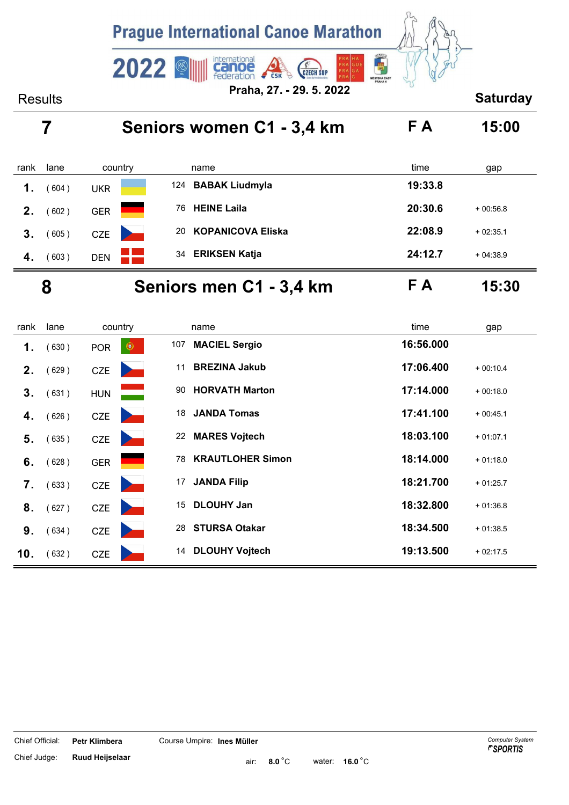

# **7 Seniors women C1 - 3,4 km F A 15:00**

| rank | lane  | country    | name                           | time<br>gap           |
|------|-------|------------|--------------------------------|-----------------------|
| 1.   | 604)  | UKR        | 124 BABAK Liudmyla             | 19:33.8               |
| 2.   | 602)  | <b>GER</b> | <b>HEINE Laila</b><br>76       | 20:30.6<br>$+00:56.8$ |
| 3.   | (605) | <b>CZE</b> | <b>KOPANICOVA Eliska</b><br>20 | 22:08.9<br>$+02:35.1$ |
| 4.   | (603) | <b>DEN</b> | <b>ERIKSEN Katja</b><br>34     | 24:12.7<br>$+04:38.9$ |
|      |       |            | _________                      | __ _                  |

### **8 Seniors men C1 - 3,4 km F A 15:30**

| rank           | lane  | country                                         | name                          | time<br>gap             |
|----------------|-------|-------------------------------------------------|-------------------------------|-------------------------|
| 1.             | 630)  | $\bullet$<br><b>POR</b>                         | <b>MACIEL Sergio</b><br>107   | 16:56.000               |
| 2 <sub>1</sub> | (629) | <b>CZE</b>                                      | <b>BREZINA Jakub</b><br>11    | 17:06.400<br>$+00:10.4$ |
| 3.             | (631) | <b>HUN</b>                                      | <b>HORVATH Marton</b><br>90   | 17:14.000<br>$+00:18.0$ |
| 4.             | 626)  | <b>CZE</b>                                      | <b>JANDA Tomas</b><br>18      | 17:41.100<br>$+00:45.1$ |
| 5.             | (635) | <b>CZE</b>                                      | 22 MARES Vojtech              | 18:03.100<br>$+01:07.1$ |
| 6.             | (628) | <b>GER</b>                                      | <b>KRAUTLOHER Simon</b><br>78 | 18:14.000<br>$+01:18.0$ |
| 7.             | (633) | <b>CZE</b>                                      | <b>JANDA Filip</b><br>17      | 18:21.700<br>$+01:25.7$ |
| 8.             | (627) | <b>CZE</b><br><b>Contract Contract Contract</b> | <b>DLOUHY Jan</b><br>15       | 18:32.800<br>$+01:36.8$ |
| 9.             | (634) | <b>CZE</b>                                      | <b>STURSA Otakar</b><br>28    | 18:34.500<br>$+01:38.5$ |
| 10.            | (632) | <b>CZE</b>                                      | <b>DLOUHY Vojtech</b><br>14   | 19:13.500<br>$+02:17.5$ |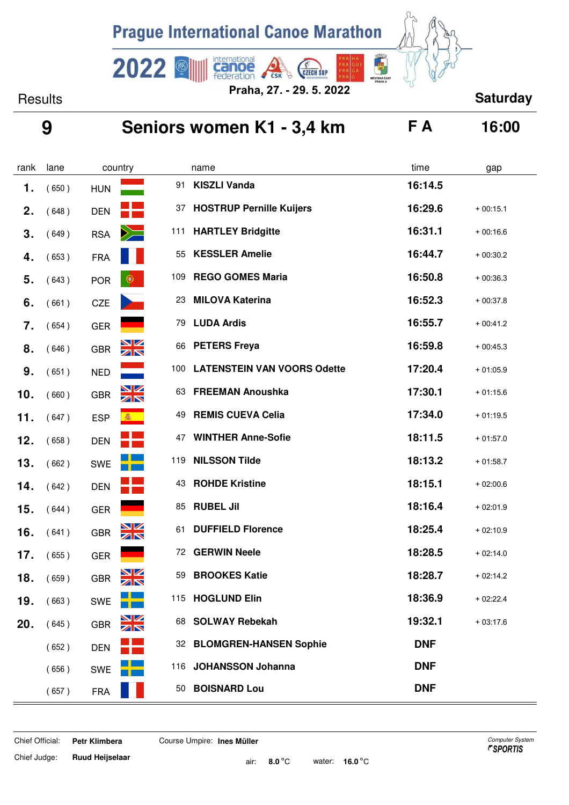

 $2022$ 

international<br>**Canoe**<br>federation Results **Saturday Praha, 27. - 29. 5. 2022**

### **9 Seniors women K1 - 3,4 km F A 16:00**

**CZECH SUP** 

画

| rank | lane  |            | country          |     | name                               | time       | gap        |
|------|-------|------------|------------------|-----|------------------------------------|------------|------------|
| 1.   | (650) | <b>HUN</b> |                  | 91  | <b>KISZLI Vanda</b>                | 16:14.5    |            |
| 2.   | (648) | <b>DEN</b> |                  | 37  | <b>HOSTRUP Pernille Kuijers</b>    | 16:29.6    | $+00:15.1$ |
| 3.   | (649) | <b>RSA</b> | $\geq$           | 111 | <b>HARTLEY Bridgitte</b>           | 16:31.1    | $+00:16.6$ |
| 4.   | (653) | <b>FRA</b> |                  | 55  | <b>KESSLER Amelie</b>              | 16:44.7    | $+00:30.2$ |
| 5.   | (643) | <b>POR</b> | $\bigcirc$       | 109 | <b>REGO GOMES Maria</b>            | 16:50.8    | $+00:36.3$ |
| 6.   | (661) | <b>CZE</b> |                  | 23  | <b>MILOVA Katerina</b>             | 16:52.3    | $+00:37.8$ |
| 7.   | (654) | <b>GER</b> |                  | 79  | <b>LUDA Ardis</b>                  | 16:55.7    | $+00:41.2$ |
| 8.   | (646) | <b>GBR</b> | <b>NK</b>        | 66  | <b>PETERS Freya</b>                | 16:59.8    | $+00:45.3$ |
| 9.   | (651) | <b>NED</b> |                  | 100 | <b>LATENSTEIN VAN VOORS Odette</b> | 17:20.4    | $+01:05.9$ |
| 10.  | (660) | <b>GBR</b> | <u>NZ</u><br>ZIN | 63  | <b>FREEMAN Anoushka</b>            | 17:30.1    | $+01:15.6$ |
| 11.  | (647) | <b>ESP</b> | 卷                | 49  | <b>REMIS CUEVA Celia</b>           | 17:34.0    | $+01:19.5$ |
| 12.  | (658) | <b>DEN</b> |                  | 47  | <b>WINTHER Anne-Sofie</b>          | 18:11.5    | $+01:57.0$ |
| 13.  | (662) | <b>SWE</b> |                  | 119 | <b>NILSSON Tilde</b>               | 18:13.2    | $+01:58.7$ |
| 14.  | (642) | <b>DEN</b> |                  | 43  | <b>ROHDE Kristine</b>              | 18:15.1    | $+02:00.6$ |
| 15.  | (644) | <b>GER</b> |                  | 85  | <b>RUBEL Jil</b>                   | 18:16.4    | $+02:01.9$ |
| 16.  | (641) | <b>GBR</b> | NZ<br>ZIN        | 61  | <b>DUFFIELD Florence</b>           | 18:25.4    | $+02:10.9$ |
| 17.  | (655) | <b>GER</b> |                  | 72  | <b>GERWIN Neele</b>                | 18:28.5    | $+02:14.0$ |
| 18.  | (659) | <b>GBR</b> | NZ<br>ZN         | 59  | <b>BROOKES Katie</b>               | 18:28.7    | $+02:14.2$ |
| 19.  | (663) | <b>SWE</b> |                  |     | 115 HOGLUND Elin                   | 18:36.9    | $+02:22.4$ |
| 20.  | (645) | <b>GBR</b> | $\frac{N}{N}$    | 68  | <b>SOLWAY Rebekah</b>              | 19:32.1    | $+03:17.6$ |
|      | (652) | <b>DEN</b> |                  |     | 32 BLOMGREN-HANSEN Sophie          | <b>DNF</b> |            |
|      | (656) | <b>SWE</b> |                  |     | 116 JOHANSSON Johanna              | <b>DNF</b> |            |
|      | (657) | <b>FRA</b> |                  | 50  | <b>BOISNARD Lou</b>                | <b>DNF</b> |            |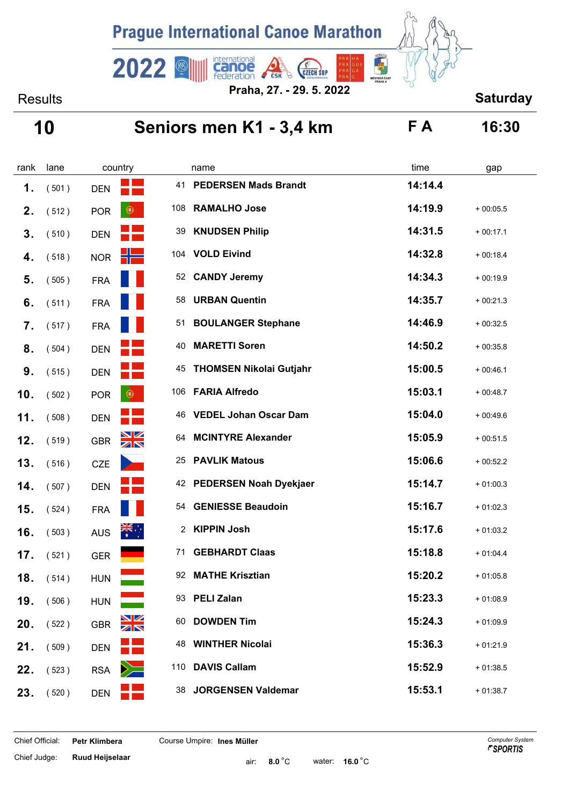

Results **Saturday Praha, 27. - 29. 5. 2022**

## **10 Seniors men K1 - 3,4 km F A 16:30**

| rank | lane  |            | country              |     | name                           | time    | gap        |
|------|-------|------------|----------------------|-----|--------------------------------|---------|------------|
| 1.   | (501) | <b>DEN</b> |                      | 41  | <b>PEDERSEN Mads Brandt</b>    | 14:14.4 |            |
| 2.   | (512) | <b>POR</b> | $\circledcirc$       | 108 | <b>RAMALHO Jose</b>            | 14:19.9 | $+00:05.5$ |
| 3.   | (510) | <b>DEN</b> |                      | 39  | <b>KNUDSEN Philip</b>          | 14:31.5 | $+00:17.1$ |
| 4.   | (518) | <b>NOR</b> | i Z                  | 104 | <b>VOLD Eivind</b>             | 14:32.8 | $+00:18.4$ |
| 5.   | (505) | <b>FRA</b> |                      | 52  | <b>CANDY Jeremy</b>            | 14:34.3 | $+00:19.9$ |
| 6.   | (511) | <b>FRA</b> |                      | 58  | <b>URBAN Quentin</b>           | 14:35.7 | $+00:21.3$ |
| 7.   | (517) | <b>FRA</b> |                      | 51  | <b>BOULANGER Stephane</b>      | 14:46.9 | $+00:32.5$ |
| 8.   | (504) | <b>DEN</b> |                      | 40  | <b>MARETTI Soren</b>           | 14:50.2 | $+00:35.8$ |
| 9.   | (515) | <b>DEN</b> |                      | 45  | <b>THOMSEN Nikolai Gutjahr</b> | 15:00.5 | $+00:46.1$ |
| 10.  | (502) | <b>POR</b> | $\bigcirc$           | 106 | <b>FARIA Alfredo</b>           | 15:03.1 | $+00:48.7$ |
| 11.  | (508) | <b>DEN</b> |                      | 46  | <b>VEDEL Johan Oscar Dam</b>   | 15:04.0 | $+00:49.6$ |
| 12.  | (519) | <b>GBR</b> | $\frac{N}{N}$        | 64  | <b>MCINTYRE Alexander</b>      | 15:05.9 | $+00:51.5$ |
| 13.  | (516) | <b>CZE</b> |                      | 25  | <b>PAVLIK Matous</b>           | 15:06.6 | $+00:52.2$ |
| 14.  | (507) | <b>DEN</b> |                      | 42  | <b>PEDERSEN Noah Dyekjaer</b>  | 15:14.7 | $+01:00.3$ |
| 15.  | (524) | <b>FRA</b> |                      | 54  | <b>GENIESSE Beaudoin</b>       | 15:16.7 | $+01:02.3$ |
| 16.  | (503) | <b>AUS</b> | $\frac{1}{\sqrt{2}}$ | 2   | <b>KIPPIN Josh</b>             | 15:17.6 | $+01:03.2$ |
| 17.  | (521) | <b>GER</b> |                      | 71  | <b>GEBHARDT Claas</b>          | 15:18.8 | $+01:04.4$ |
| 18.  | (514) | <b>HUN</b> |                      | 92  | <b>MATHE Krisztian</b>         | 15:20.2 | $+01:05.8$ |
| 19.  | (506) | <b>HUN</b> |                      |     | 93 PELI Zalan                  | 15:23.3 | $+01:08.9$ |
| 20.  | (522) | <b>GBR</b> | $\frac{N}{N}$        | 60  | <b>DOWDEN Tim</b>              | 15:24.3 | $+01:09.9$ |
| 21.  | (509) | <b>DEN</b> |                      |     | <b>48 WINTHER Nicolai</b>      | 15:36.3 | $+01:21.9$ |
| 22.  | (523) | <b>RSA</b> | $\geq$               |     | 110 DAVIS Callam               | 15:52.9 | $+01:38.5$ |
| 23.  | (520) | <b>DEN</b> |                      |     | 38 JORGENSEN Valdemar          | 15:53.1 | $+01:38.7$ |